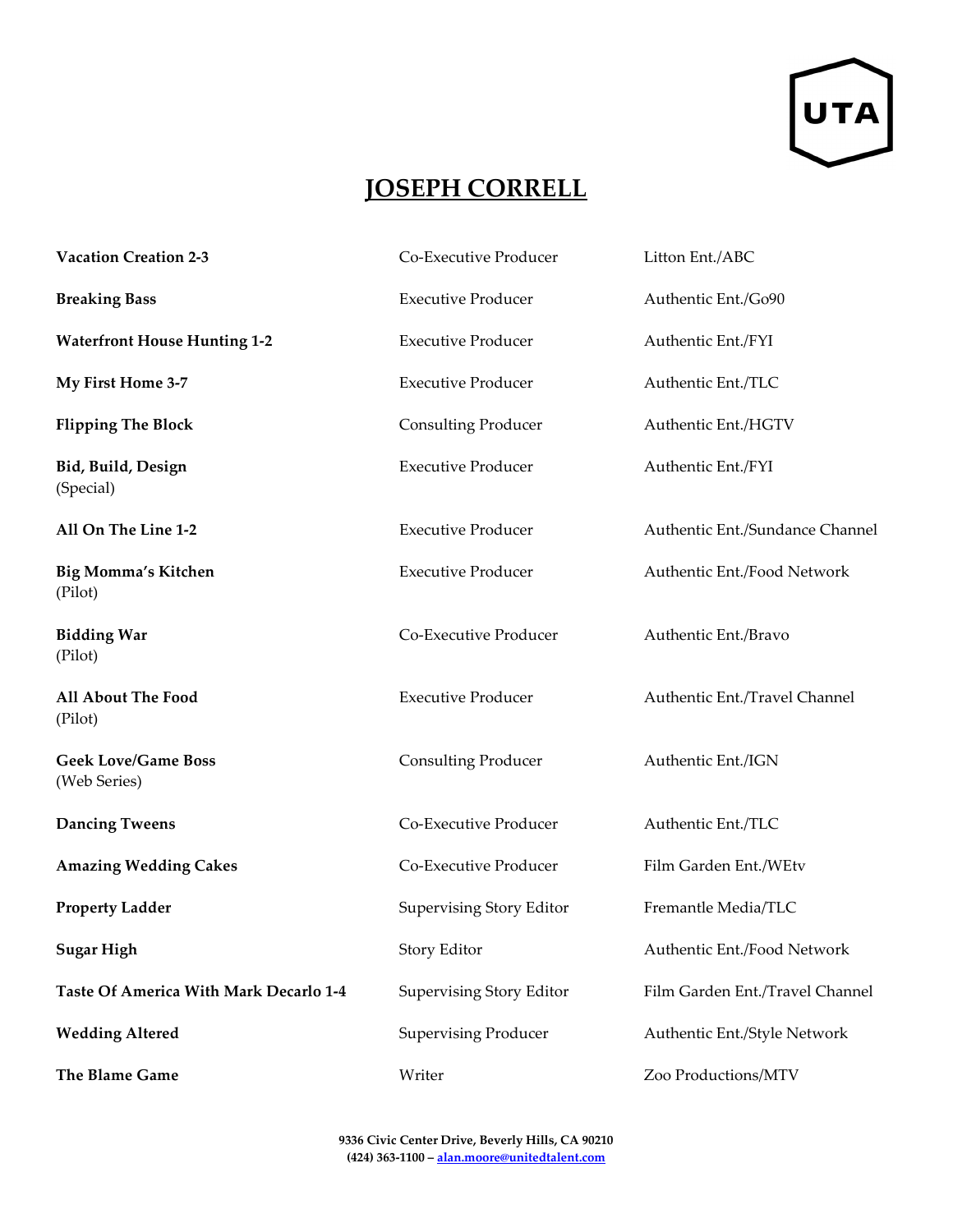

## **JOSEPH CORRELL**

| <b>Vacation Creation 2-3</b>               | Co-Executive Producer           | Litton Ent./ABC                 |
|--------------------------------------------|---------------------------------|---------------------------------|
| <b>Breaking Bass</b>                       | <b>Executive Producer</b>       | Authentic Ent./Go90             |
| <b>Waterfront House Hunting 1-2</b>        | <b>Executive Producer</b>       | Authentic Ent./FYI              |
| My First Home 3-7                          | <b>Executive Producer</b>       | Authentic Ent./TLC              |
| <b>Flipping The Block</b>                  | <b>Consulting Producer</b>      | Authentic Ent./HGTV             |
| Bid, Build, Design<br>(Special)            | <b>Executive Producer</b>       | Authentic Ent./FYI              |
| All On The Line 1-2                        | <b>Executive Producer</b>       | Authentic Ent./Sundance Channel |
| <b>Big Momma's Kitchen</b><br>(Pilot)      | <b>Executive Producer</b>       | Authentic Ent./Food Network     |
| <b>Bidding War</b><br>(Pilot)              | Co-Executive Producer           | Authentic Ent./Bravo            |
| All About The Food<br>(Pilot)              | <b>Executive Producer</b>       | Authentic Ent./Travel Channel   |
| <b>Geek Love/Game Boss</b><br>(Web Series) | <b>Consulting Producer</b>      | Authentic Ent./IGN              |
| <b>Dancing Tweens</b>                      | Co-Executive Producer           | Authentic Ent./TLC              |
| <b>Amazing Wedding Cakes</b>               | Co-Executive Producer           | Film Garden Ent./WEtv           |
| <b>Property Ladder</b>                     | <b>Supervising Story Editor</b> | Fremantle Media/TLC             |
| <b>Sugar High</b>                          | Story Editor                    | Authentic Ent./Food Network     |
| Taste Of America With Mark Decarlo 1-4     | <b>Supervising Story Editor</b> | Film Garden Ent./Travel Channel |
| <b>Wedding Altered</b>                     | <b>Supervising Producer</b>     | Authentic Ent./Style Network    |
| The Blame Game                             | Writer                          | Zoo Productions/MTV             |